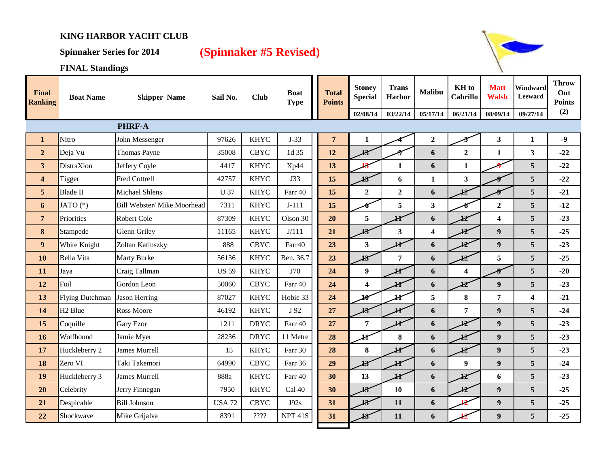## **KING HARBOR YACHT CLUB**

## **Spinnaker Series for 2014 (Spinnaker #5 Revised)**



**FINAL Standings**

| <b>Final</b><br><b>Ranking</b> | <b>Boat Name</b>       | <b>Skipper Name</b>         | Sail No.      | <b>Club</b> | <b>Boat</b><br><b>Type</b> | <b>Total</b><br><b>Points</b> | <b>Stoney</b><br><b>Special</b><br>02/08/14 | <b>Trans</b><br><b>Harbor</b><br>03/22/14 | <b>Malibu</b><br>05/17/14 | KH to<br><b>Cabrillo</b><br>06/21/14 | <b>Matt</b><br><b>Walsh</b><br>08/09/14 | Windward<br>Leeward<br>09/27/14 | <b>Throw</b><br>Out<br><b>Points</b><br>(2) |
|--------------------------------|------------------------|-----------------------------|---------------|-------------|----------------------------|-------------------------------|---------------------------------------------|-------------------------------------------|---------------------------|--------------------------------------|-----------------------------------------|---------------------------------|---------------------------------------------|
|                                |                        |                             |               |             |                            |                               |                                             |                                           |                           |                                      |                                         |                                 |                                             |
| $\mathbf{1}$                   | Nitro                  | John Messenger              | 97626         | <b>KHYC</b> | $J-33$                     | $\overline{7}$                | 1                                           |                                           | $\overline{2}$            |                                      | $\overline{\mathbf{3}}$                 | $\mathbf{1}$                    | $-9$                                        |
| $\overline{2}$                 | Deja Vu                | Thomas Payne                | 35008         | <b>CBYC</b> | 1d 35                      | 12                            | ł3                                          |                                           | 6                         | $\overline{2}$                       | $\mathbf{1}$                            | 3                               | $-22$                                       |
| $\overline{\mathbf{3}}$        | <b>DistraXion</b>      | Jeffery Coyle               | 4417          | <b>KHYC</b> | Xp44                       | 13                            |                                             | $\mathbf{1}$                              | 6                         | $\mathbf{1}$                         |                                         | 5                               | $-22$                                       |
| $\overline{\mathbf{4}}$        | Tigger                 | <b>Fred Cottrell</b>        | 42757         | <b>KHYC</b> | J33                        | 15                            | 13                                          | 6                                         | $\mathbf{1}$              | 3                                    |                                         | 5                               | $-22$                                       |
| 5                              | Blade II               | <b>Michael Shlens</b>       | <b>U</b> 37   | <b>KHYC</b> | Farr 40                    | 15                            | $\overline{2}$                              | $\overline{2}$                            | 6                         | 12                                   |                                         | 5                               | $-21$                                       |
| 6                              | JATO (*)               | Bill Webster/ Mike Moorhead | 7311          | <b>KHYC</b> | $J-111$                    | 15                            |                                             | 5                                         | $\overline{\mathbf{3}}$   |                                      | $\boldsymbol{2}$                        | 5                               | $-12$                                       |
| $\overline{7}$                 | Priorities             | Robert Cole                 | 87309         | <b>KHYC</b> | Olson 30                   | 20                            | 5                                           |                                           | $\boldsymbol{6}$          |                                      | $\overline{\mathbf{4}}$                 | 5                               | $-23$                                       |
| 8                              | Stampede               | <b>Glenn Griley</b>         | 11165         | <b>KHYC</b> | J/111                      | 21                            | 13                                          | $\mathbf{3}$                              | $\overline{\mathbf{4}}$   | ŁŽ                                   | $\boldsymbol{9}$                        | 5                               | $-25$                                       |
| $\boldsymbol{9}$               | White Knight           | Zoltan Katinszky            | 888           | <b>CBYC</b> | Farr40                     | 23                            | $\overline{\mathbf{3}}$                     | łt                                        | 6                         | Ł                                    | $\boldsymbol{9}$                        | 5                               | $-23$                                       |
| 10                             | <b>Bella Vita</b>      | <b>Marty Burke</b>          | 56136         | <b>KHYC</b> | Ben. 36.7                  | 23                            | 13                                          | $\overline{7}$                            | 6                         | 12                                   | 5                                       | 5                               | $-25$                                       |
| 11                             | Jaya                   | Craig Tallman               | <b>US 59</b>  | <b>KHYC</b> | J70                        | 24                            | $\boldsymbol{9}$                            | łt                                        | 6                         | $\overline{\mathbf{4}}$              |                                         | 5                               | $-20$                                       |
| 12                             | Foil                   | Gordon Leon                 | 50060         | <b>CBYC</b> | Farr 40                    | 24                            | $\overline{\mathbf{4}}$                     | H                                         | 6                         | 12                                   | 9                                       | 5                               | $-23$                                       |
| 13                             | <b>Flying Dutchman</b> | <b>Jason Herring</b>        | 87027         | <b>KHYC</b> | Hobie 33                   | 24                            | 10                                          |                                           | 5                         | 8                                    | 7                                       | $\overline{\mathbf{4}}$         | $-21$                                       |
| 14                             | H <sub>2</sub> Blue    | <b>Ross Moore</b>           | 46192         | <b>KHYC</b> | J 92                       | 27                            | 13                                          | H                                         | 6                         | 7                                    | 9                                       | 5                               | $-24$                                       |
| 15                             | Coquille               | <b>Gary Ezor</b>            | 1211          | <b>DRYC</b> | Farr 40                    | 27                            | $\overline{7}$                              | łt                                        | 6                         | ŁŽ                                   | 9                                       | 5                               | $-23$                                       |
| 16                             | Wolfhound              | Jamie Myer                  | 28236         | <b>DRYC</b> | 11 Metre                   | 28                            | łt                                          | 8                                         | 6                         | 12                                   | $\overline{9}$                          | 5                               | $-23$                                       |
| 17                             | Huckleberry 2          | <b>James Murrell</b>        | 15            | <b>KHYC</b> | Farr 30                    | 28                            | $\bf 8$                                     | H                                         | 6                         | 12                                   | $\boldsymbol{9}$                        | 5                               | $-23$                                       |
| 18                             | Zero VI                | Taki Takemori               | 64990         | <b>CBYC</b> | Farr 36                    | 29                            | 13                                          | H                                         | 6                         | 9                                    | $\boldsymbol{9}$                        | 5                               | $-24$                                       |
| 19                             | Huckleberry 3          | <b>James Murrell</b>        | 888a          | <b>KHYC</b> | Farr 40                    | 30                            | 13                                          | łť                                        | 6                         | łZ                                   | 6                                       | 5                               | $-23$                                       |
| 20                             | Celebrity              | Jerry Finnegan              | 7950          | <b>KHYC</b> | Cal 40                     | 30                            | 13                                          | 10                                        | 6                         | 12                                   | 9                                       | 5                               | $-25$                                       |
| 21                             | Despicable             | <b>Bill Johnson</b>         | <b>USA 72</b> | <b>CBYC</b> | J92s                       | 31                            | 13                                          | 11                                        | 6                         |                                      | $\boldsymbol{9}$                        | 5                               | $-25$                                       |
| 22                             | Shockwave              | Mike Grijalva               | 8391          | 2222        | NPT <sub>41S</sub>         | 31                            | 13                                          | 11                                        | 6                         |                                      | 9                                       | 5                               | $-25$                                       |